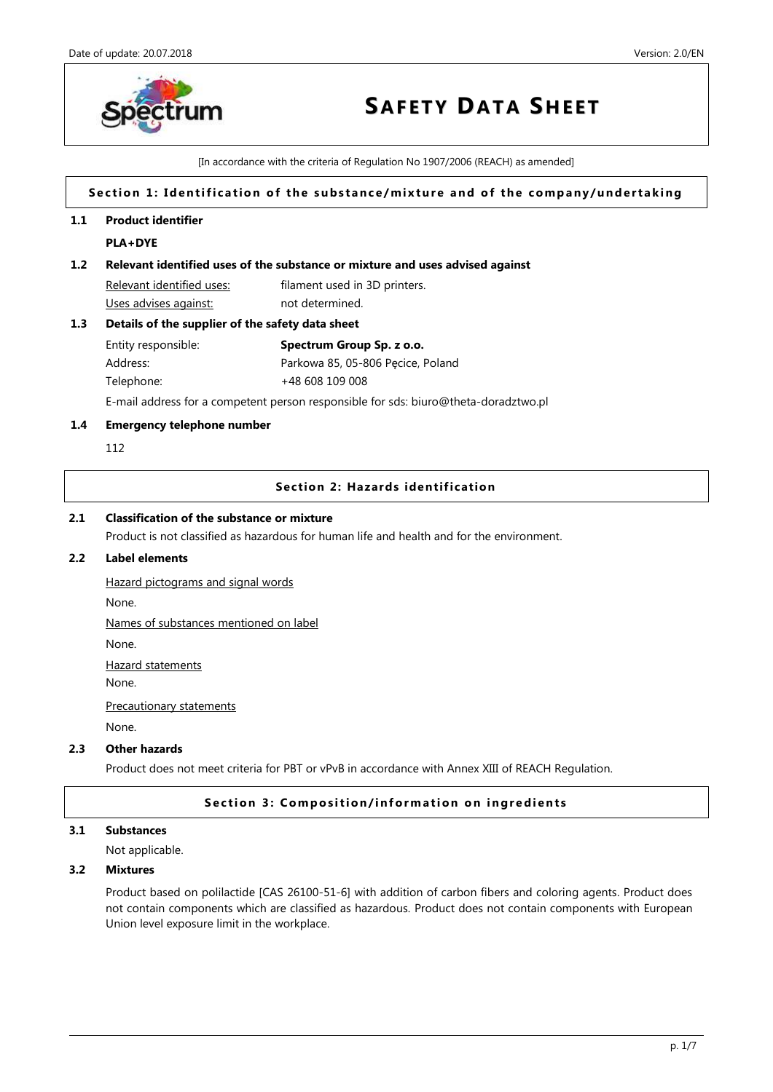

[In accordance with the criteria of Regulation No 1907/2006 (REACH) as amended]

# Section 1: Identification of the substance/mixture and of the company/undertaking

# **1.1 Product identifier**

# **PLA+DYE**

# **1.2 Relevant identified uses of the substance or mixture and uses advised against**

Relevant identified uses: filament used in 3D printers. Uses advises against: not determined.

## **1.3 Details of the supplier of the safety data sheet**

| Entity responsible: | Spectrum Group Sp. z o.o.         |
|---------------------|-----------------------------------|
| Address:            | Parkowa 85, 05-806 Pecice, Poland |
| Telephone:          | +48 608 109 008                   |

E-mail address for a competent person responsible for sds: biuro@theta-doradztwo.pl

## **1.4 Emergency telephone number**

112

## **Section 2: Hazards identification**

## **2.1 Classification of the substance or mixture**

Product is not classified as hazardous for human life and health and for the environment.

# **2.2 Label elements**

Hazard pictograms and signal words None. Names of substances mentioned on label

None.

Hazard statements

None.

Precautionary statements

None.

# **2.3 Other hazards**

Product does not meet criteria for PBT or vPvB in accordance with Annex XIII of REACH Regulation.

# **Section 3: Composition/information on ingredients**

# **3.1 Substances**

Not applicable.

## **3.2 Mixtures**

Product based on polilactide [CAS 26100-51-6] with addition of carbon fibers and coloring agents. Product does not contain components which are classified as hazardous. Product does not contain components with European Union level exposure limit in the workplace.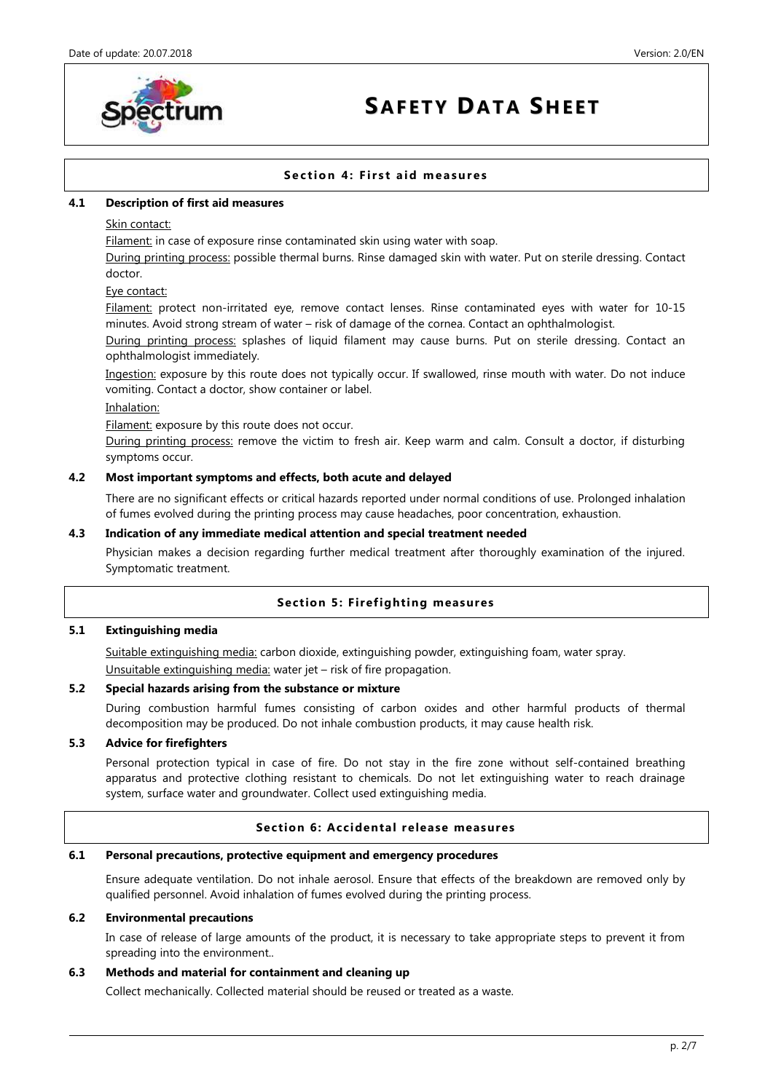

# **Section 4: First aid measures**

## **4.1 Description of first aid measures**

## Skin contact:

Filament: in case of exposure rinse contaminated skin using water with soap.

During printing process: possible thermal burns. Rinse damaged skin with water. Put on sterile dressing. Contact doctor.

## Eye contact:

Filament: protect non-irritated eye, remove contact lenses. Rinse contaminated eyes with water for 10-15 minutes. Avoid strong stream of water – risk of damage of the cornea. Contact an ophthalmologist.

During printing process: splashes of liquid filament may cause burns. Put on sterile dressing. Contact an ophthalmologist immediately.

Ingestion: exposure by this route does not typically occur. If swallowed, rinse mouth with water. Do not induce vomiting. Contact a doctor, show container or label.

## Inhalation:

Filament: exposure by this route does not occur.

During printing process: remove the victim to fresh air. Keep warm and calm. Consult a doctor, if disturbing symptoms occur.

## **4.2 Most important symptoms and effects, both acute and delayed**

There are no significant effects or critical hazards reported under normal conditions of use. Prolonged inhalation of fumes evolved during the printing process may cause headaches, poor concentration, exhaustion.

## **4.3 Indication of any immediate medical attention and special treatment needed**

Physician makes a decision regarding further medical treatment after thoroughly examination of the injured. Symptomatic treatment.

# **Section 5: Firefighting measures**

# **5.1 Extinguishing media**

Suitable extinguishing media: carbon dioxide, extinguishing powder, extinguishing foam, water spray. Unsuitable extinguishing media: water jet – risk of fire propagation.

# **5.2 Special hazards arising from the substance or mixture**

During combustion harmful fumes consisting of carbon oxides and other harmful products of thermal decomposition may be produced. Do not inhale combustion products, it may cause health risk.

# **5.3 Advice for firefighters**

Personal protection typical in case of fire. Do not stay in the fire zone without self-contained breathing apparatus and protective clothing resistant to chemicals. Do not let extinguishing water to reach drainage system, surface water and groundwater. Collect used extinguishing media.

# **Section 6: Accidental release measures**

## **6.1 Personal precautions, protective equipment and emergency procedures**

Ensure adequate ventilation. Do not inhale aerosol. Ensure that effects of the breakdown are removed only by qualified personnel. Avoid inhalation of fumes evolved during the printing process.

## **6.2 Environmental precautions**

In case of release of large amounts of the product, it is necessary to take appropriate steps to prevent it from spreading into the environment..

## **6.3 Methods and material for containment and cleaning up**

Collect mechanically. Collected material should be reused or treated as a waste.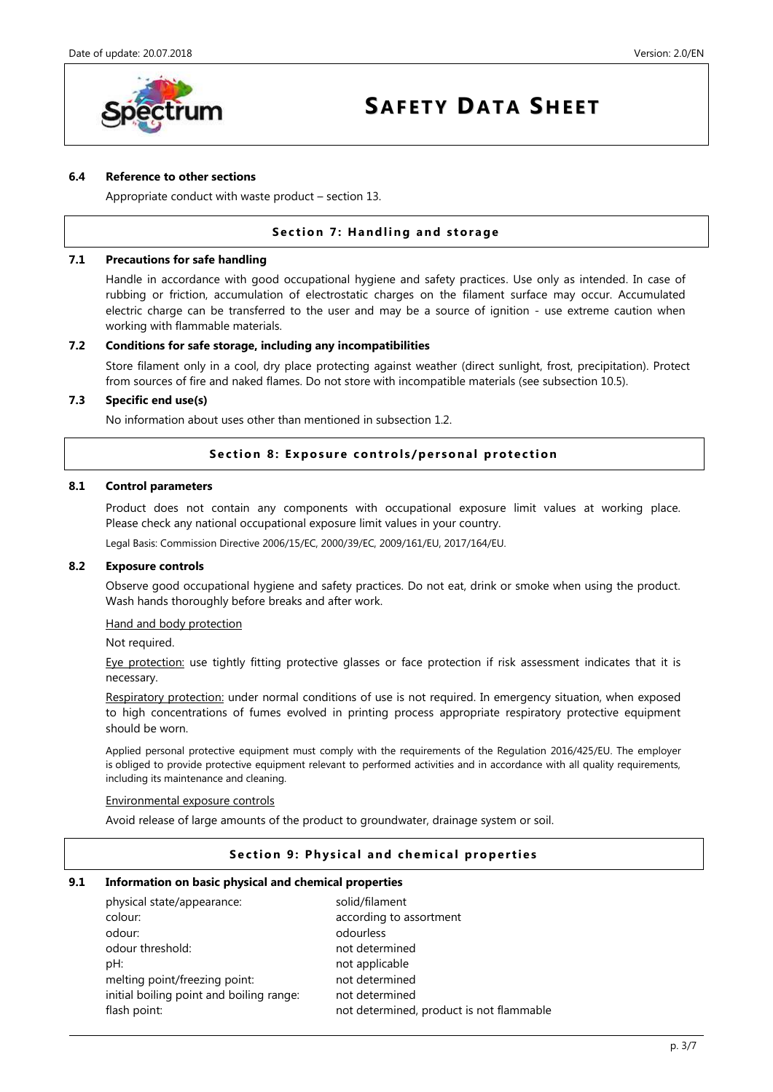

## **6.4 Reference to other sections**

Appropriate conduct with waste product – section 13.

# **Section 7: Handling and storage**

## **7.1 Precautions for safe handling**

Handle in accordance with good occupational hygiene and safety practices. Use only as intended. In case of rubbing or friction, accumulation of electrostatic charges on the filament surface may occur. Accumulated electric charge can be transferred to the user and may be a source of ignition - use extreme caution when working with flammable materials.

## **7.2 Conditions for safe storage, including any incompatibilities**

Store filament only in a cool, dry place protecting against weather (direct sunlight, frost, precipitation). Protect from sources of fire and naked flames. Do not store with incompatible materials (see subsection 10.5).

## **7.3 Specific end use(s)**

No information about uses other than mentioned in subsection 1.2.

## **Section 8: Exposure controls/personal protection**

#### **8.1 Control parameters**

Product does not contain any components with occupational exposure limit values at working place. Please check any national occupational exposure limit values in your country.

Legal Basis: Commission Directive 2006/15/EC, 2000/39/EC, 2009/161/EU, 2017/164/EU.

#### **8.2 Exposure controls**

Observe good occupational hygiene and safety practices. Do not eat, drink or smoke when using the product. Wash hands thoroughly before breaks and after work.

## Hand and body protection

Not required.

Eye protection: use tightly fitting protective glasses or face protection if risk assessment indicates that it is necessary.

Respiratory protection: under normal conditions of use is not required. In emergency situation, when exposed to high concentrations of fumes evolved in printing process appropriate respiratory protective equipment should be worn.

Applied personal protective equipment must comply with the requirements of the Regulation 2016/425/EU. The employer is obliged to provide protective equipment relevant to performed activities and in accordance with all quality requirements, including its maintenance and cleaning.

#### Environmental exposure controls

Avoid release of large amounts of the product to groundwater, drainage system or soil.

## **Section 9: Physical and chemical properties**

#### **9.1 Information on basic physical and chemical properties**

| physical state/appearance:               | solid/filament                           |
|------------------------------------------|------------------------------------------|
| colour:                                  | according to assortment                  |
| odour:                                   | odourless                                |
| odour threshold:                         | not determined                           |
| pH:                                      | not applicable                           |
| melting point/freezing point:            | not determined                           |
| initial boiling point and boiling range: | not determined                           |
| flash point:                             | not determined, product is not flammable |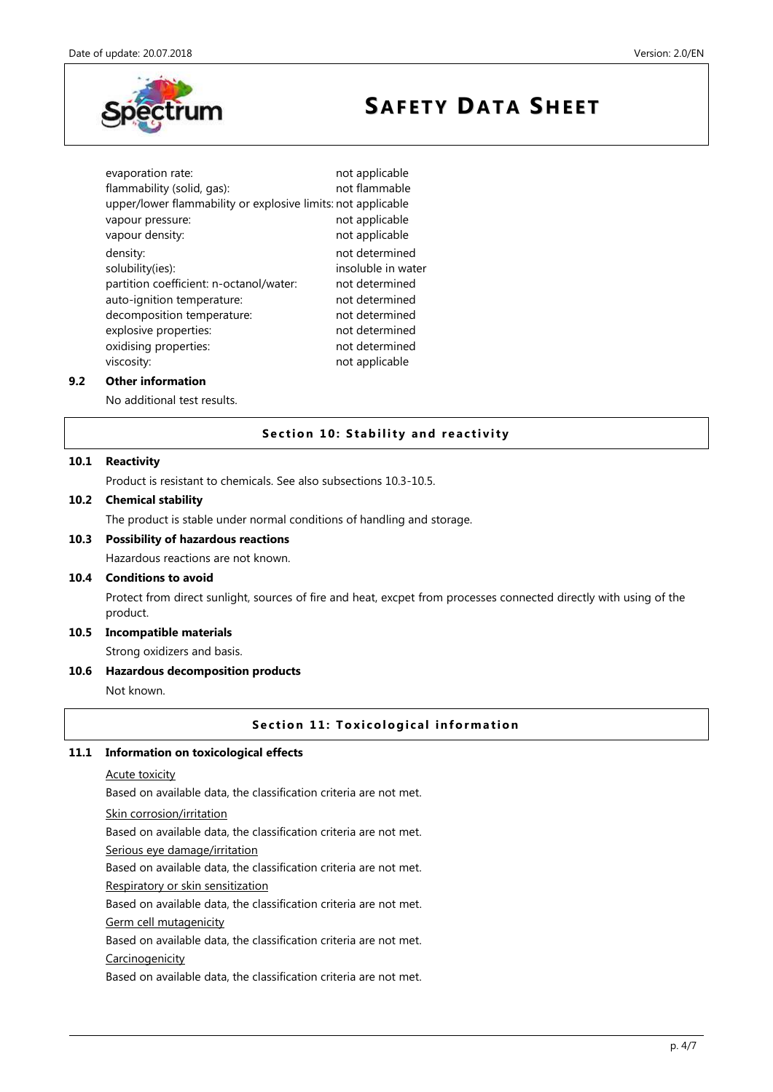

evaporation rate: not applicable flammability (solid, gas): not flammable upper/lower flammability or explosive limits: not applicable vapour pressure: not applicable vapour density: not applicable density: density: not determined solubility(ies): insoluble in water partition coefficient: n-octanol/water: not determined auto-ignition temperature: not determined decomposition temperature: not determined explosive properties: not determined oxidising properties: not determined viscosity: not applicable

## **9.2 Other information**

No additional test results.

# **Section 10: Stability and reactivity**

## **10.1 Reactivity**

Product is resistant to chemicals. See also subsections 10.3-10.5.

# **10.2 Chemical stability**

The product is stable under normal conditions of handling and storage.

# **10.3 Possibility of hazardous reactions**

Hazardous reactions are not known.

## **10.4 Conditions to avoid**

Protect from direct sunlight, sources of fire and heat, excpet from processes connected directly with using of the product.

# **10.5 Incompatible materials**

Strong oxidizers and basis.

## **10.6 Hazardous decomposition products**

Not known.

## **Section 11: Toxicological information**

#### **11.1 Information on toxicological effects**

Acute toxicity

Based on available data, the classification criteria are not met.

#### Skin corrosion/irritation

Based on available data, the classification criteria are not met.

Serious eye damage/irritation

Based on available data, the classification criteria are not met.

## Respiratory or skin sensitization

Based on available data, the classification criteria are not met.

## Germ cell mutagenicity

Based on available data, the classification criteria are not met.

#### Carcinogenicity

Based on available data, the classification criteria are not met.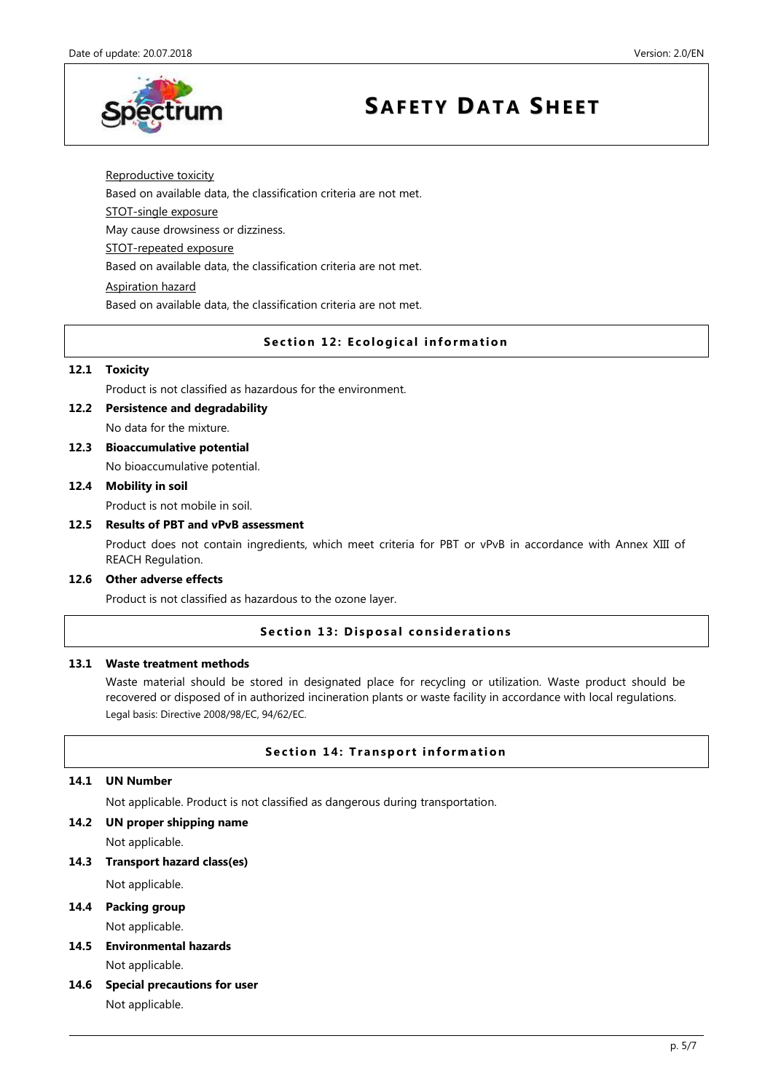

## Reproductive toxicity

Based on available data, the classification criteria are not met.

STOT-single exposure

May cause drowsiness or dizziness.

STOT-repeated exposure

Based on available data, the classification criteria are not met.

## Aspiration hazard

Based on available data, the classification criteria are not met.

## **Section 12: Ecological information**

## **12.1 Toxicity**

Product is not classified as hazardous for the environment.

**12.2 Persistence and degradability**

No data for the mixture.

**12.3 Bioaccumulative potential**

No bioaccumulative potential.

# **12.4 Mobility in soil**

Product is not mobile in soil.

## **12.5 Results of PBT and vPvB assessment**

Product does not contain ingredients, which meet criteria for PBT or vPvB in accordance with Annex XIII of REACH Regulation.

# **12.6 Other adverse effects**

Product is not classified as hazardous to the ozone layer.

# **Section 13: Disposal considerations**

# **13.1 Waste treatment methods**

Waste material should be stored in designated place for recycling or utilization. Waste product should be recovered or disposed of in authorized incineration plants or waste facility in accordance with local regulations. Legal basis: Directive 2008/98/EC, 94/62/EC.

## **Section 14: Transport information**

## **14.1 UN Number**

Not applicable. Product is not classified as dangerous during transportation.

**14.2 UN proper shipping name**

Not applicable.

**14.3 Transport hazard class(es)**

Not applicable.

- **14.4 Packing group** Not applicable.
- **14.5 Environmental hazards** Not applicable.
- **14.6 Special precautions for user** Not applicable.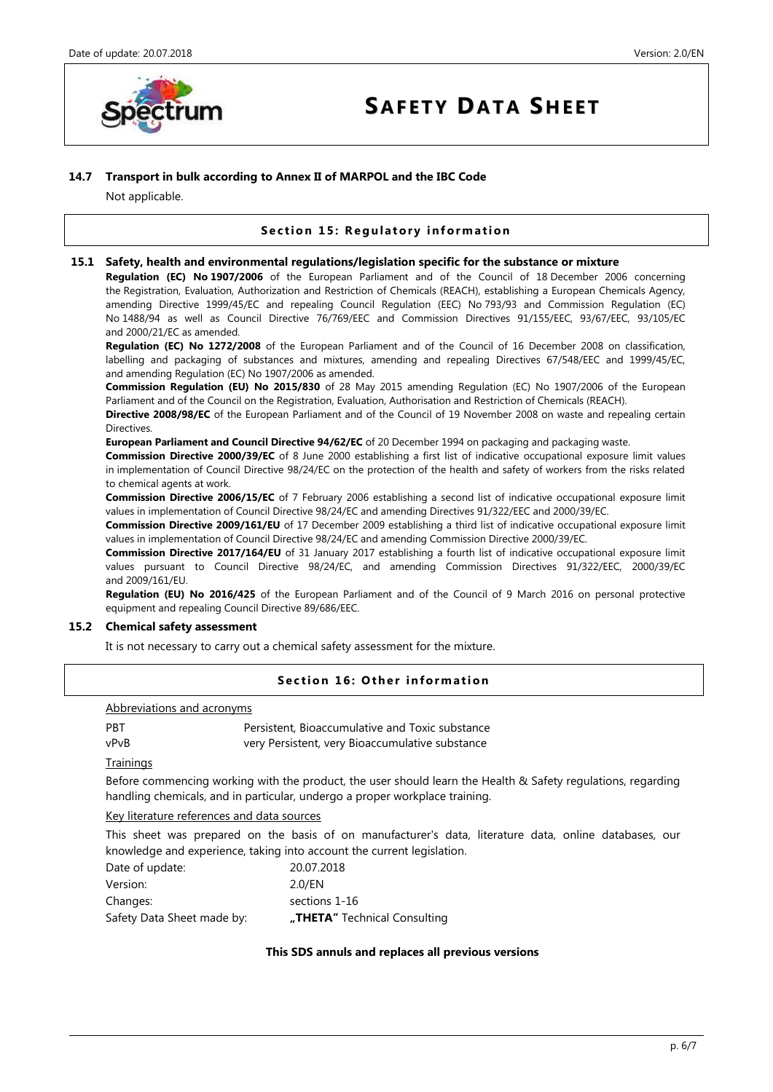

## **14.7 Transport in bulk according to Annex II of MARPOL and the IBC Code**

Not applicable.

# **Section 15: Regulatory information**

#### **15.1 Safety, health and environmental regulations/legislation specific for the substance or mixture**

**Regulation (EC) No 1907/2006** of the European Parliament and of the Council of 18 December 2006 concerning the Registration, Evaluation, Authorization and Restriction of Chemicals (REACH), establishing a European Chemicals Agency, amending Directive 1999/45/EC and repealing Council Regulation (EEC) No 793/93 and Commission Regulation (EC) No 1488/94 as well as Council Directive 76/769/EEC and Commission Directives 91/155/EEC, 93/67/EEC, 93/105/EC and 2000/21/EC as amended.

**Regulation (EC) No 1272/2008** of the European Parliament and of the Council of 16 December 2008 on classification, labelling and packaging of substances and mixtures, amending and repealing Directives 67/548/EEC and 1999/45/EC, and amending Regulation (EC) No 1907/2006 as amended.

**Commission Regulation (EU) No 2015/830** of 28 May 2015 amending Regulation (EC) No 1907/2006 of the European Parliament and of the Council on the Registration, Evaluation, Authorisation and Restriction of Chemicals (REACH).

**Directive 2008/98/EC** of the European Parliament and of the Council of 19 November 2008 on waste and repealing certain Directives.

**European Parliament and Council Directive 94/62/EC** of 20 December 1994 on packaging and packaging waste.

**Commission Directive 2000/39/EC** of 8 June 2000 establishing a first list of indicative occupational exposure limit values in implementation of Council Directive 98/24/EC on the protection of the health and safety of workers from the risks related to chemical agents at work.

**Commission Directive 2006/15/EC** of 7 February 2006 establishing a second list of indicative occupational exposure limit values in implementation of Council Directive 98/24/EC and amending Directives 91/322/EEC and 2000/39/EC.

**Commission Directive 2009/161/EU** of 17 December 2009 establishing a third list of indicative occupational exposure limit values in implementation of Council Directive 98/24/EC and amending Commission Directive 2000/39/EC.

**Commission Directive 2017/164/EU** of 31 January 2017 establishing a fourth list of indicative occupational exposure limit values pursuant to Council Directive 98/24/EC, and amending Commission Directives 91/322/EEC, 2000/39/EC and 2009/161/EU.

**Regulation (EU) No 2016/425** of the European Parliament and of the Council of 9 March 2016 on personal protective equipment and repealing Council Directive 89/686/EEC.

## **15.2 Chemical safety assessment**

It is not necessary to carry out a chemical safety assessment for the mixture.

# **Section 16: Other information**

| Abbreviations and acronyms |                                                 |  |  |
|----------------------------|-------------------------------------------------|--|--|
| <b>PRT</b>                 | Persistent, Bioaccumulative and Toxic substance |  |  |
| vPvB                       | very Persistent, very Bioaccumulative substance |  |  |

**Trainings** 

Before commencing working with the product, the user should learn the Health & Safety regulations, regarding handling chemicals, and in particular, undergo a proper workplace training.

Key literature references and data sources

This sheet was prepared on the basis of on manufacturer's data, literature data, online databases, our knowledge and experience, taking into account the current legislation.

| Date of update:            | 20.07.2018                   |
|----------------------------|------------------------------|
| Version:                   | 2.0/EN                       |
| Changes:                   | sections 1-16                |
| Safety Data Sheet made by: | "THETA" Technical Consulting |

## **This SDS annuls and replaces all previous versions**